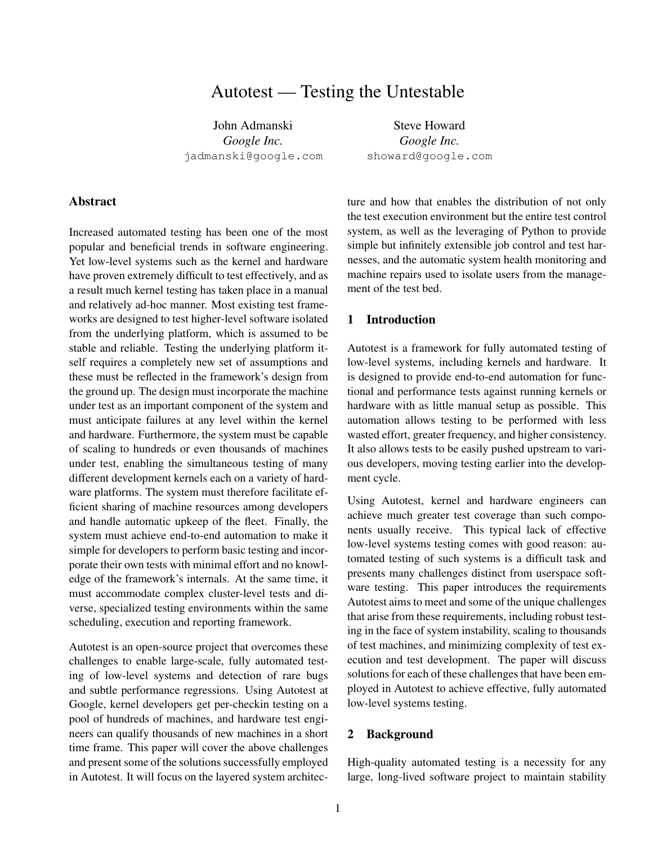# Autotest — Testing the Untestable

John Admanski *Google Inc.* jadmanski@google.com

Steve Howard *Google Inc.* showard@google.com

### Abstract

Increased automated testing has been one of the most popular and beneficial trends in software engineering. Yet low-level systems such as the kernel and hardware have proven extremely difficult to test effectively, and as a result much kernel testing has taken place in a manual and relatively ad-hoc manner. Most existing test frameworks are designed to test higher-level software isolated from the underlying platform, which is assumed to be stable and reliable. Testing the underlying platform itself requires a completely new set of assumptions and these must be reflected in the framework's design from the ground up. The design must incorporate the machine under test as an important component of the system and must anticipate failures at any level within the kernel and hardware. Furthermore, the system must be capable of scaling to hundreds or even thousands of machines under test, enabling the simultaneous testing of many different development kernels each on a variety of hardware platforms. The system must therefore facilitate efficient sharing of machine resources among developers and handle automatic upkeep of the fleet. Finally, the system must achieve end-to-end automation to make it simple for developers to perform basic testing and incorporate their own tests with minimal effort and no knowledge of the framework's internals. At the same time, it must accommodate complex cluster-level tests and diverse, specialized testing environments within the same scheduling, execution and reporting framework.

Autotest is an open-source project that overcomes these challenges to enable large-scale, fully automated testing of low-level systems and detection of rare bugs and subtle performance regressions. Using Autotest at Google, kernel developers get per-checkin testing on a pool of hundreds of machines, and hardware test engineers can qualify thousands of new machines in a short time frame. This paper will cover the above challenges and present some of the solutions successfully employed in Autotest. It will focus on the layered system architecture and how that enables the distribution of not only the test execution environment but the entire test control system, as well as the leveraging of Python to provide simple but infinitely extensible job control and test harnesses, and the automatic system health monitoring and machine repairs used to isolate users from the management of the test bed.

# 1 Introduction

Autotest is a framework for fully automated testing of low-level systems, including kernels and hardware. It is designed to provide end-to-end automation for functional and performance tests against running kernels or hardware with as little manual setup as possible. This automation allows testing to be performed with less wasted effort, greater frequency, and higher consistency. It also allows tests to be easily pushed upstream to various developers, moving testing earlier into the development cycle.

Using Autotest, kernel and hardware engineers can achieve much greater test coverage than such components usually receive. This typical lack of effective low-level systems testing comes with good reason: automated testing of such systems is a difficult task and presents many challenges distinct from userspace software testing. This paper introduces the requirements Autotest aims to meet and some of the unique challenges that arise from these requirements, including robust testing in the face of system instability, scaling to thousands of test machines, and minimizing complexity of test execution and test development. The paper will discuss solutions for each of these challenges that have been employed in Autotest to achieve effective, fully automated low-level systems testing.

### 2 Background

High-quality automated testing is a necessity for any large, long-lived software project to maintain stability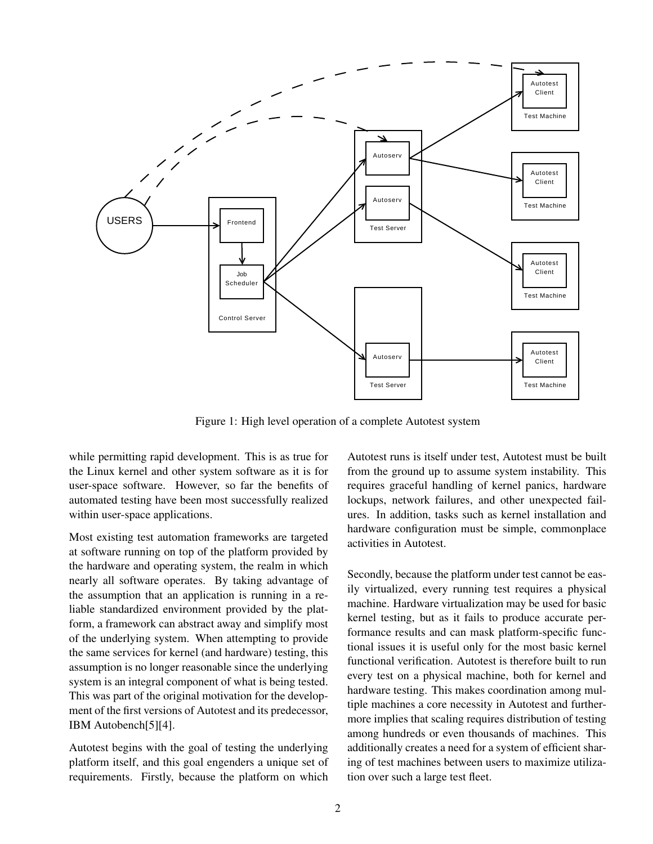

Figure 1: High level operation of a complete Autotest system

while permitting rapid development. This is as true for the Linux kernel and other system software as it is for user-space software. However, so far the benefits of automated testing have been most successfully realized within user-space applications.

Most existing test automation frameworks are targeted at software running on top of the platform provided by the hardware and operating system, the realm in which nearly all software operates. By taking advantage of the assumption that an application is running in a reliable standardized environment provided by the platform, a framework can abstract away and simplify most of the underlying system. When attempting to provide the same services for kernel (and hardware) testing, this assumption is no longer reasonable since the underlying system is an integral component of what is being tested. This was part of the original motivation for the development of the first versions of Autotest and its predecessor, IBM Autobench[5][4].

Autotest begins with the goal of testing the underlying platform itself, and this goal engenders a unique set of requirements. Firstly, because the platform on which Autotest runs is itself under test, Autotest must be built from the ground up to assume system instability. This requires graceful handling of kernel panics, hardware lockups, network failures, and other unexpected failures. In addition, tasks such as kernel installation and hardware configuration must be simple, commonplace activities in Autotest.

Secondly, because the platform under test cannot be easily virtualized, every running test requires a physical machine. Hardware virtualization may be used for basic kernel testing, but as it fails to produce accurate performance results and can mask platform-specific functional issues it is useful only for the most basic kernel functional verification. Autotest is therefore built to run every test on a physical machine, both for kernel and hardware testing. This makes coordination among multiple machines a core necessity in Autotest and furthermore implies that scaling requires distribution of testing among hundreds or even thousands of machines. This additionally creates a need for a system of efficient sharing of test machines between users to maximize utilization over such a large test fleet.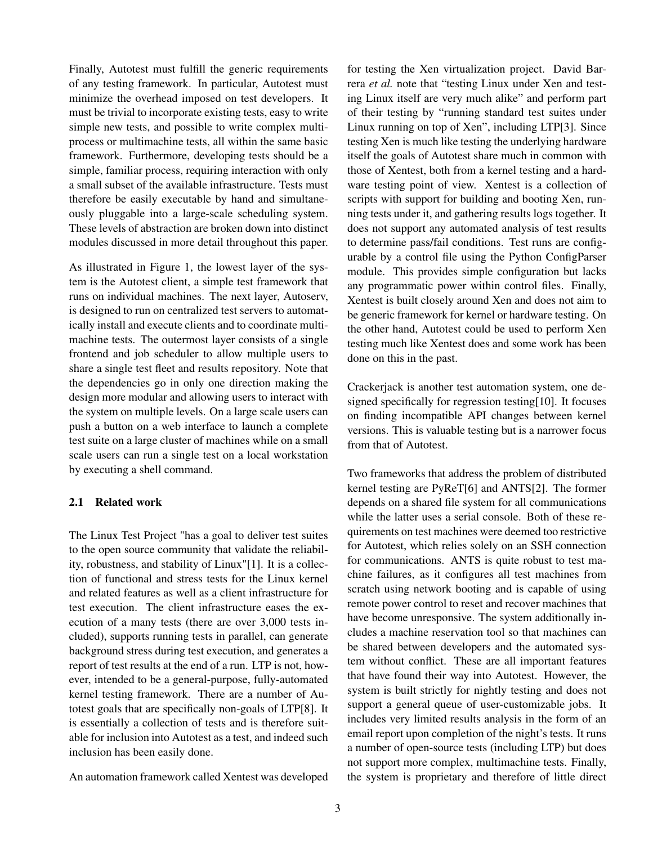Finally, Autotest must fulfill the generic requirements of any testing framework. In particular, Autotest must minimize the overhead imposed on test developers. It must be trivial to incorporate existing tests, easy to write simple new tests, and possible to write complex multiprocess or multimachine tests, all within the same basic framework. Furthermore, developing tests should be a simple, familiar process, requiring interaction with only a small subset of the available infrastructure. Tests must therefore be easily executable by hand and simultaneously pluggable into a large-scale scheduling system. These levels of abstraction are broken down into distinct modules discussed in more detail throughout this paper.

As illustrated in Figure 1, the lowest layer of the system is the Autotest client, a simple test framework that runs on individual machines. The next layer, Autoserv, is designed to run on centralized test servers to automatically install and execute clients and to coordinate multimachine tests. The outermost layer consists of a single frontend and job scheduler to allow multiple users to share a single test fleet and results repository. Note that the dependencies go in only one direction making the design more modular and allowing users to interact with the system on multiple levels. On a large scale users can push a button on a web interface to launch a complete test suite on a large cluster of machines while on a small scale users can run a single test on a local workstation by executing a shell command.

### 2.1 Related work

The Linux Test Project "has a goal to deliver test suites to the open source community that validate the reliability, robustness, and stability of Linux"[1]. It is a collection of functional and stress tests for the Linux kernel and related features as well as a client infrastructure for test execution. The client infrastructure eases the execution of a many tests (there are over 3,000 tests included), supports running tests in parallel, can generate background stress during test execution, and generates a report of test results at the end of a run. LTP is not, however, intended to be a general-purpose, fully-automated kernel testing framework. There are a number of Autotest goals that are specifically non-goals of LTP[8]. It is essentially a collection of tests and is therefore suitable for inclusion into Autotest as a test, and indeed such inclusion has been easily done.

An automation framework called Xentest was developed

for testing the Xen virtualization project. David Barrera *et al.* note that "testing Linux under Xen and testing Linux itself are very much alike" and perform part of their testing by "running standard test suites under Linux running on top of Xen", including LTP[3]. Since testing Xen is much like testing the underlying hardware itself the goals of Autotest share much in common with those of Xentest, both from a kernel testing and a hardware testing point of view. Xentest is a collection of scripts with support for building and booting Xen, running tests under it, and gathering results logs together. It does not support any automated analysis of test results to determine pass/fail conditions. Test runs are configurable by a control file using the Python ConfigParser module. This provides simple configuration but lacks any programmatic power within control files. Finally, Xentest is built closely around Xen and does not aim to be generic framework for kernel or hardware testing. On the other hand, Autotest could be used to perform Xen testing much like Xentest does and some work has been done on this in the past.

Crackerjack is another test automation system, one designed specifically for regression testing[10]. It focuses on finding incompatible API changes between kernel versions. This is valuable testing but is a narrower focus from that of Autotest.

Two frameworks that address the problem of distributed kernel testing are PyReT[6] and ANTS[2]. The former depends on a shared file system for all communications while the latter uses a serial console. Both of these requirements on test machines were deemed too restrictive for Autotest, which relies solely on an SSH connection for communications. ANTS is quite robust to test machine failures, as it configures all test machines from scratch using network booting and is capable of using remote power control to reset and recover machines that have become unresponsive. The system additionally includes a machine reservation tool so that machines can be shared between developers and the automated system without conflict. These are all important features that have found their way into Autotest. However, the system is built strictly for nightly testing and does not support a general queue of user-customizable jobs. It includes very limited results analysis in the form of an email report upon completion of the night's tests. It runs a number of open-source tests (including LTP) but does not support more complex, multimachine tests. Finally, the system is proprietary and therefore of little direct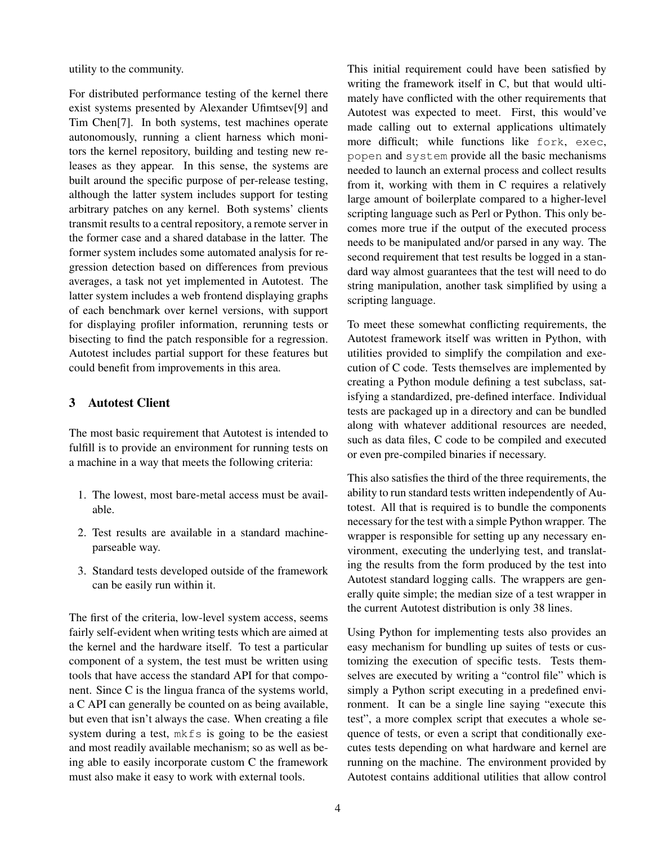utility to the community.

For distributed performance testing of the kernel there exist systems presented by Alexander Ufimtsev[9] and Tim Chen[7]. In both systems, test machines operate autonomously, running a client harness which monitors the kernel repository, building and testing new releases as they appear. In this sense, the systems are built around the specific purpose of per-release testing, although the latter system includes support for testing arbitrary patches on any kernel. Both systems' clients transmit results to a central repository, a remote server in the former case and a shared database in the latter. The former system includes some automated analysis for regression detection based on differences from previous averages, a task not yet implemented in Autotest. The latter system includes a web frontend displaying graphs of each benchmark over kernel versions, with support for displaying profiler information, rerunning tests or bisecting to find the patch responsible for a regression. Autotest includes partial support for these features but could benefit from improvements in this area.

# 3 Autotest Client

The most basic requirement that Autotest is intended to fulfill is to provide an environment for running tests on a machine in a way that meets the following criteria:

- 1. The lowest, most bare-metal access must be available.
- 2. Test results are available in a standard machineparseable way.
- 3. Standard tests developed outside of the framework can be easily run within it.

The first of the criteria, low-level system access, seems fairly self-evident when writing tests which are aimed at the kernel and the hardware itself. To test a particular component of a system, the test must be written using tools that have access the standard API for that component. Since C is the lingua franca of the systems world, a C API can generally be counted on as being available, but even that isn't always the case. When creating a file system during a test, mkfs is going to be the easiest and most readily available mechanism; so as well as being able to easily incorporate custom C the framework must also make it easy to work with external tools.

This initial requirement could have been satisfied by writing the framework itself in C, but that would ultimately have conflicted with the other requirements that Autotest was expected to meet. First, this would've made calling out to external applications ultimately more difficult; while functions like fork, exec, popen and system provide all the basic mechanisms needed to launch an external process and collect results from it, working with them in C requires a relatively large amount of boilerplate compared to a higher-level scripting language such as Perl or Python. This only becomes more true if the output of the executed process needs to be manipulated and/or parsed in any way. The second requirement that test results be logged in a standard way almost guarantees that the test will need to do string manipulation, another task simplified by using a scripting language.

To meet these somewhat conflicting requirements, the Autotest framework itself was written in Python, with utilities provided to simplify the compilation and execution of C code. Tests themselves are implemented by creating a Python module defining a test subclass, satisfying a standardized, pre-defined interface. Individual tests are packaged up in a directory and can be bundled along with whatever additional resources are needed, such as data files, C code to be compiled and executed or even pre-compiled binaries if necessary.

This also satisfies the third of the three requirements, the ability to run standard tests written independently of Autotest. All that is required is to bundle the components necessary for the test with a simple Python wrapper. The wrapper is responsible for setting up any necessary environment, executing the underlying test, and translating the results from the form produced by the test into Autotest standard logging calls. The wrappers are generally quite simple; the median size of a test wrapper in the current Autotest distribution is only 38 lines.

Using Python for implementing tests also provides an easy mechanism for bundling up suites of tests or customizing the execution of specific tests. Tests themselves are executed by writing a "control file" which is simply a Python script executing in a predefined environment. It can be a single line saying "execute this test", a more complex script that executes a whole sequence of tests, or even a script that conditionally executes tests depending on what hardware and kernel are running on the machine. The environment provided by Autotest contains additional utilities that allow control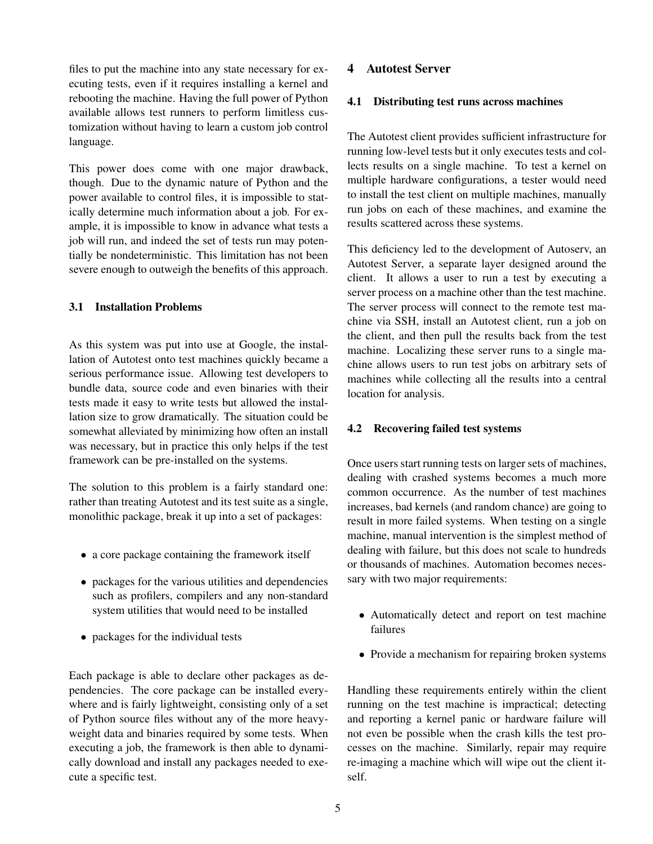files to put the machine into any state necessary for executing tests, even if it requires installing a kernel and rebooting the machine. Having the full power of Python available allows test runners to perform limitless customization without having to learn a custom job control language.

This power does come with one major drawback, though. Due to the dynamic nature of Python and the power available to control files, it is impossible to statically determine much information about a job. For example, it is impossible to know in advance what tests a job will run, and indeed the set of tests run may potentially be nondeterministic. This limitation has not been severe enough to outweigh the benefits of this approach.

### 3.1 Installation Problems

As this system was put into use at Google, the installation of Autotest onto test machines quickly became a serious performance issue. Allowing test developers to bundle data, source code and even binaries with their tests made it easy to write tests but allowed the installation size to grow dramatically. The situation could be somewhat alleviated by minimizing how often an install was necessary, but in practice this only helps if the test framework can be pre-installed on the systems.

The solution to this problem is a fairly standard one: rather than treating Autotest and its test suite as a single, monolithic package, break it up into a set of packages:

- a core package containing the framework itself
- packages for the various utilities and dependencies such as profilers, compilers and any non-standard system utilities that would need to be installed
- packages for the individual tests

Each package is able to declare other packages as dependencies. The core package can be installed everywhere and is fairly lightweight, consisting only of a set of Python source files without any of the more heavyweight data and binaries required by some tests. When executing a job, the framework is then able to dynamically download and install any packages needed to execute a specific test.

### 4 Autotest Server

### 4.1 Distributing test runs across machines

The Autotest client provides sufficient infrastructure for running low-level tests but it only executes tests and collects results on a single machine. To test a kernel on multiple hardware configurations, a tester would need to install the test client on multiple machines, manually run jobs on each of these machines, and examine the results scattered across these systems.

This deficiency led to the development of Autoserv, an Autotest Server, a separate layer designed around the client. It allows a user to run a test by executing a server process on a machine other than the test machine. The server process will connect to the remote test machine via SSH, install an Autotest client, run a job on the client, and then pull the results back from the test machine. Localizing these server runs to a single machine allows users to run test jobs on arbitrary sets of machines while collecting all the results into a central location for analysis.

### 4.2 Recovering failed test systems

Once users start running tests on larger sets of machines, dealing with crashed systems becomes a much more common occurrence. As the number of test machines increases, bad kernels (and random chance) are going to result in more failed systems. When testing on a single machine, manual intervention is the simplest method of dealing with failure, but this does not scale to hundreds or thousands of machines. Automation becomes necessary with two major requirements:

- Automatically detect and report on test machine failures
- Provide a mechanism for repairing broken systems

Handling these requirements entirely within the client running on the test machine is impractical; detecting and reporting a kernel panic or hardware failure will not even be possible when the crash kills the test processes on the machine. Similarly, repair may require re-imaging a machine which will wipe out the client itself.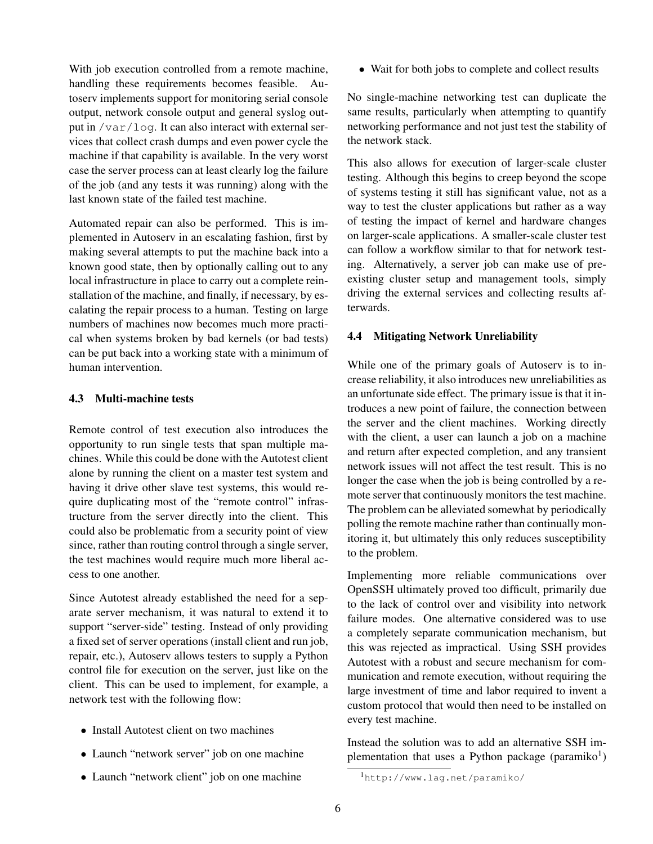With job execution controlled from a remote machine, handling these requirements becomes feasible. Autoserv implements support for monitoring serial console output, network console output and general syslog output in /var/log. It can also interact with external services that collect crash dumps and even power cycle the machine if that capability is available. In the very worst case the server process can at least clearly log the failure of the job (and any tests it was running) along with the last known state of the failed test machine.

Automated repair can also be performed. This is implemented in Autoserv in an escalating fashion, first by making several attempts to put the machine back into a known good state, then by optionally calling out to any local infrastructure in place to carry out a complete reinstallation of the machine, and finally, if necessary, by escalating the repair process to a human. Testing on large numbers of machines now becomes much more practical when systems broken by bad kernels (or bad tests) can be put back into a working state with a minimum of human intervention.

# 4.3 Multi-machine tests

Remote control of test execution also introduces the opportunity to run single tests that span multiple machines. While this could be done with the Autotest client alone by running the client on a master test system and having it drive other slave test systems, this would require duplicating most of the "remote control" infrastructure from the server directly into the client. This could also be problematic from a security point of view since, rather than routing control through a single server, the test machines would require much more liberal access to one another.

Since Autotest already established the need for a separate server mechanism, it was natural to extend it to support "server-side" testing. Instead of only providing a fixed set of server operations (install client and run job, repair, etc.), Autoserv allows testers to supply a Python control file for execution on the server, just like on the client. This can be used to implement, for example, a network test with the following flow:

- Install Autotest client on two machines
- Launch "network server" job on one machine
- Launch "network client" job on one machine

• Wait for both jobs to complete and collect results

No single-machine networking test can duplicate the same results, particularly when attempting to quantify networking performance and not just test the stability of the network stack.

This also allows for execution of larger-scale cluster testing. Although this begins to creep beyond the scope of systems testing it still has significant value, not as a way to test the cluster applications but rather as a way of testing the impact of kernel and hardware changes on larger-scale applications. A smaller-scale cluster test can follow a workflow similar to that for network testing. Alternatively, a server job can make use of preexisting cluster setup and management tools, simply driving the external services and collecting results afterwards.

# 4.4 Mitigating Network Unreliability

While one of the primary goals of Autoserv is to increase reliability, it also introduces new unreliabilities as an unfortunate side effect. The primary issue is that it introduces a new point of failure, the connection between the server and the client machines. Working directly with the client, a user can launch a job on a machine and return after expected completion, and any transient network issues will not affect the test result. This is no longer the case when the job is being controlled by a remote server that continuously monitors the test machine. The problem can be alleviated somewhat by periodically polling the remote machine rather than continually monitoring it, but ultimately this only reduces susceptibility to the problem.

Implementing more reliable communications over OpenSSH ultimately proved too difficult, primarily due to the lack of control over and visibility into network failure modes. One alternative considered was to use a completely separate communication mechanism, but this was rejected as impractical. Using SSH provides Autotest with a robust and secure mechanism for communication and remote execution, without requiring the large investment of time and labor required to invent a custom protocol that would then need to be installed on every test machine.

Instead the solution was to add an alternative SSH implementation that uses a Python package (paramiko<sup>1</sup>)

<sup>1</sup>http://www.lag.net/paramiko/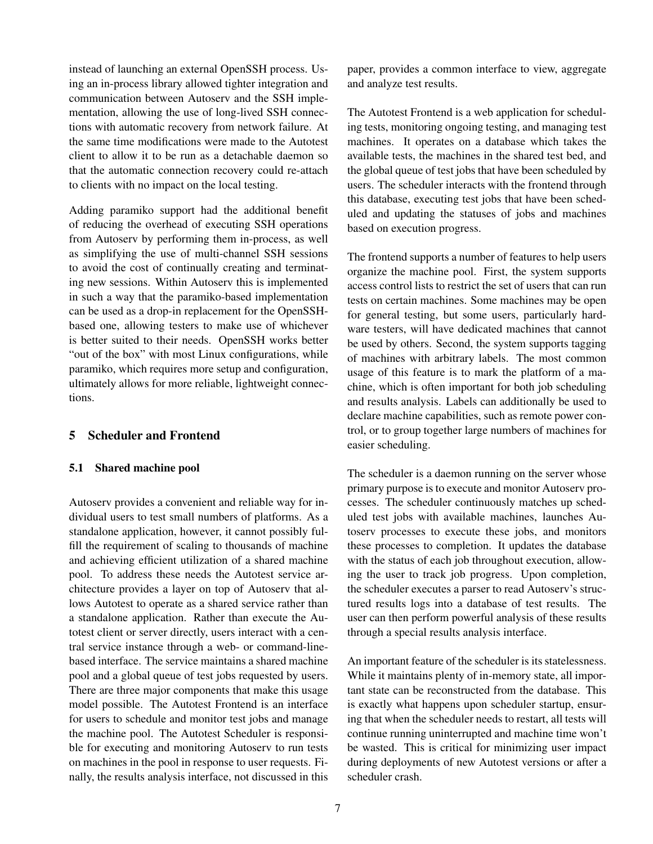instead of launching an external OpenSSH process. Using an in-process library allowed tighter integration and communication between Autoserv and the SSH implementation, allowing the use of long-lived SSH connections with automatic recovery from network failure. At the same time modifications were made to the Autotest client to allow it to be run as a detachable daemon so that the automatic connection recovery could re-attach to clients with no impact on the local testing.

Adding paramiko support had the additional benefit of reducing the overhead of executing SSH operations from Autoserv by performing them in-process, as well as simplifying the use of multi-channel SSH sessions to avoid the cost of continually creating and terminating new sessions. Within Autoserv this is implemented in such a way that the paramiko-based implementation can be used as a drop-in replacement for the OpenSSHbased one, allowing testers to make use of whichever is better suited to their needs. OpenSSH works better "out of the box" with most Linux configurations, while paramiko, which requires more setup and configuration, ultimately allows for more reliable, lightweight connections.

# 5 Scheduler and Frontend

#### 5.1 Shared machine pool

Autoserv provides a convenient and reliable way for individual users to test small numbers of platforms. As a standalone application, however, it cannot possibly fulfill the requirement of scaling to thousands of machine and achieving efficient utilization of a shared machine pool. To address these needs the Autotest service architecture provides a layer on top of Autoserv that allows Autotest to operate as a shared service rather than a standalone application. Rather than execute the Autotest client or server directly, users interact with a central service instance through a web- or command-linebased interface. The service maintains a shared machine pool and a global queue of test jobs requested by users. There are three major components that make this usage model possible. The Autotest Frontend is an interface for users to schedule and monitor test jobs and manage the machine pool. The Autotest Scheduler is responsible for executing and monitoring Autoserv to run tests on machines in the pool in response to user requests. Finally, the results analysis interface, not discussed in this paper, provides a common interface to view, aggregate and analyze test results.

The Autotest Frontend is a web application for scheduling tests, monitoring ongoing testing, and managing test machines. It operates on a database which takes the available tests, the machines in the shared test bed, and the global queue of test jobs that have been scheduled by users. The scheduler interacts with the frontend through this database, executing test jobs that have been scheduled and updating the statuses of jobs and machines based on execution progress.

The frontend supports a number of features to help users organize the machine pool. First, the system supports access control lists to restrict the set of users that can run tests on certain machines. Some machines may be open for general testing, but some users, particularly hardware testers, will have dedicated machines that cannot be used by others. Second, the system supports tagging of machines with arbitrary labels. The most common usage of this feature is to mark the platform of a machine, which is often important for both job scheduling and results analysis. Labels can additionally be used to declare machine capabilities, such as remote power control, or to group together large numbers of machines for easier scheduling.

The scheduler is a daemon running on the server whose primary purpose is to execute and monitor Autoserv processes. The scheduler continuously matches up scheduled test jobs with available machines, launches Autoserv processes to execute these jobs, and monitors these processes to completion. It updates the database with the status of each job throughout execution, allowing the user to track job progress. Upon completion, the scheduler executes a parser to read Autoserv's structured results logs into a database of test results. The user can then perform powerful analysis of these results through a special results analysis interface.

An important feature of the scheduler is its statelessness. While it maintains plenty of in-memory state, all important state can be reconstructed from the database. This is exactly what happens upon scheduler startup, ensuring that when the scheduler needs to restart, all tests will continue running uninterrupted and machine time won't be wasted. This is critical for minimizing user impact during deployments of new Autotest versions or after a scheduler crash.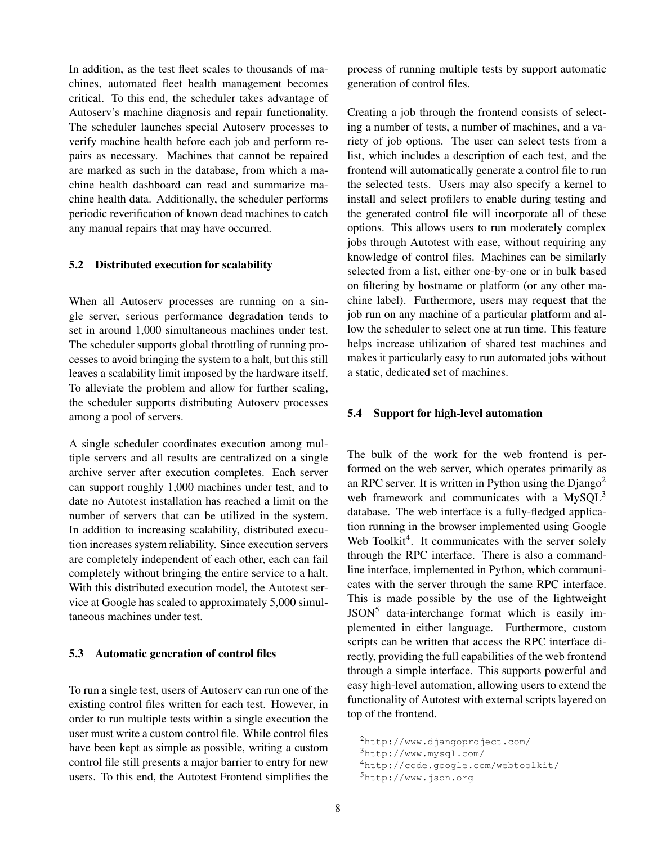In addition, as the test fleet scales to thousands of machines, automated fleet health management becomes critical. To this end, the scheduler takes advantage of Autoserv's machine diagnosis and repair functionality. The scheduler launches special Autoserv processes to verify machine health before each job and perform repairs as necessary. Machines that cannot be repaired are marked as such in the database, from which a machine health dashboard can read and summarize machine health data. Additionally, the scheduler performs periodic reverification of known dead machines to catch any manual repairs that may have occurred.

#### 5.2 Distributed execution for scalability

When all Autoserv processes are running on a single server, serious performance degradation tends to set in around 1,000 simultaneous machines under test. The scheduler supports global throttling of running processes to avoid bringing the system to a halt, but this still leaves a scalability limit imposed by the hardware itself. To alleviate the problem and allow for further scaling, the scheduler supports distributing Autoserv processes among a pool of servers.

A single scheduler coordinates execution among multiple servers and all results are centralized on a single archive server after execution completes. Each server can support roughly 1,000 machines under test, and to date no Autotest installation has reached a limit on the number of servers that can be utilized in the system. In addition to increasing scalability, distributed execution increases system reliability. Since execution servers are completely independent of each other, each can fail completely without bringing the entire service to a halt. With this distributed execution model, the Autotest service at Google has scaled to approximately 5,000 simultaneous machines under test.

### 5.3 Automatic generation of control files

To run a single test, users of Autoserv can run one of the existing control files written for each test. However, in order to run multiple tests within a single execution the user must write a custom control file. While control files have been kept as simple as possible, writing a custom control file still presents a major barrier to entry for new users. To this end, the Autotest Frontend simplifies the process of running multiple tests by support automatic generation of control files.

Creating a job through the frontend consists of selecting a number of tests, a number of machines, and a variety of job options. The user can select tests from a list, which includes a description of each test, and the frontend will automatically generate a control file to run the selected tests. Users may also specify a kernel to install and select profilers to enable during testing and the generated control file will incorporate all of these options. This allows users to run moderately complex jobs through Autotest with ease, without requiring any knowledge of control files. Machines can be similarly selected from a list, either one-by-one or in bulk based on filtering by hostname or platform (or any other machine label). Furthermore, users may request that the job run on any machine of a particular platform and allow the scheduler to select one at run time. This feature helps increase utilization of shared test machines and makes it particularly easy to run automated jobs without a static, dedicated set of machines.

### 5.4 Support for high-level automation

The bulk of the work for the web frontend is performed on the web server, which operates primarily as an RPC server. It is written in Python using the  $D$ jango<sup>2</sup> web framework and communicates with a  $MySQL^3$ database. The web interface is a fully-fledged application running in the browser implemented using Google Web Toolkit<sup>4</sup>. It communicates with the server solely through the RPC interface. There is also a commandline interface, implemented in Python, which communicates with the server through the same RPC interface. This is made possible by the use of the lightweight JSON<sup>5</sup> data-interchange format which is easily implemented in either language. Furthermore, custom scripts can be written that access the RPC interface directly, providing the full capabilities of the web frontend through a simple interface. This supports powerful and easy high-level automation, allowing users to extend the functionality of Autotest with external scripts layered on top of the frontend.

<sup>2</sup>http://www.djangoproject.com/

<sup>3</sup>http://www.mysql.com/

<sup>4</sup>http://code.google.com/webtoolkit/

<sup>5</sup>http://www.json.org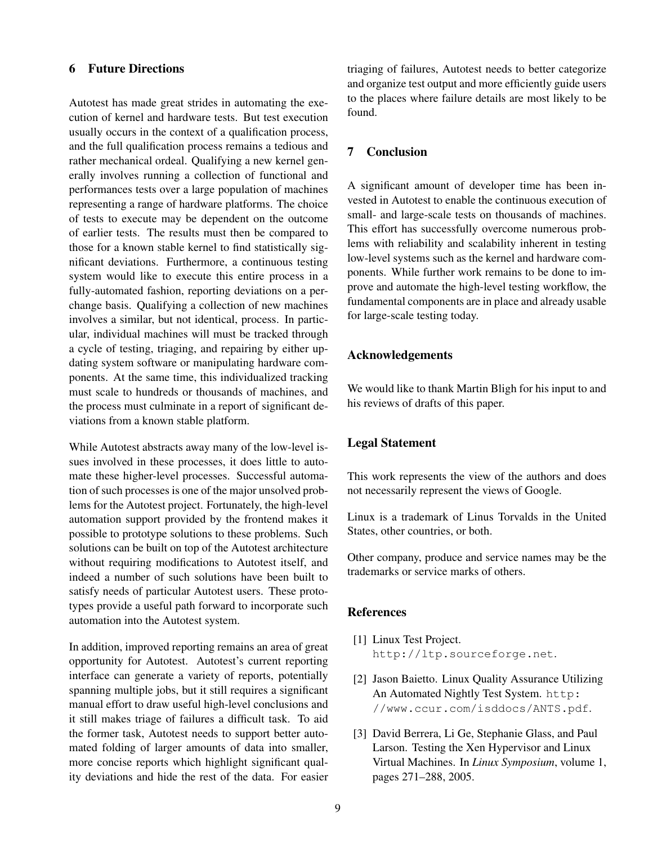# 6 Future Directions

Autotest has made great strides in automating the execution of kernel and hardware tests. But test execution usually occurs in the context of a qualification process, and the full qualification process remains a tedious and rather mechanical ordeal. Qualifying a new kernel generally involves running a collection of functional and performances tests over a large population of machines representing a range of hardware platforms. The choice of tests to execute may be dependent on the outcome of earlier tests. The results must then be compared to those for a known stable kernel to find statistically significant deviations. Furthermore, a continuous testing system would like to execute this entire process in a fully-automated fashion, reporting deviations on a perchange basis. Qualifying a collection of new machines involves a similar, but not identical, process. In particular, individual machines will must be tracked through a cycle of testing, triaging, and repairing by either updating system software or manipulating hardware components. At the same time, this individualized tracking must scale to hundreds or thousands of machines, and the process must culminate in a report of significant deviations from a known stable platform.

While Autotest abstracts away many of the low-level issues involved in these processes, it does little to automate these higher-level processes. Successful automation of such processes is one of the major unsolved problems for the Autotest project. Fortunately, the high-level automation support provided by the frontend makes it possible to prototype solutions to these problems. Such solutions can be built on top of the Autotest architecture without requiring modifications to Autotest itself, and indeed a number of such solutions have been built to satisfy needs of particular Autotest users. These prototypes provide a useful path forward to incorporate such automation into the Autotest system.

In addition, improved reporting remains an area of great opportunity for Autotest. Autotest's current reporting interface can generate a variety of reports, potentially spanning multiple jobs, but it still requires a significant manual effort to draw useful high-level conclusions and it still makes triage of failures a difficult task. To aid the former task, Autotest needs to support better automated folding of larger amounts of data into smaller, more concise reports which highlight significant quality deviations and hide the rest of the data. For easier triaging of failures, Autotest needs to better categorize and organize test output and more efficiently guide users to the places where failure details are most likely to be found.

# 7 Conclusion

A significant amount of developer time has been invested in Autotest to enable the continuous execution of small- and large-scale tests on thousands of machines. This effort has successfully overcome numerous problems with reliability and scalability inherent in testing low-level systems such as the kernel and hardware components. While further work remains to be done to improve and automate the high-level testing workflow, the fundamental components are in place and already usable for large-scale testing today.

# Acknowledgements

We would like to thank Martin Bligh for his input to and his reviews of drafts of this paper.

### Legal Statement

This work represents the view of the authors and does not necessarily represent the views of Google.

Linux is a trademark of Linus Torvalds in the United States, other countries, or both.

Other company, produce and service names may be the trademarks or service marks of others.

# References

- [1] Linux Test Project. http://ltp.sourceforge.net.
- [2] Jason Baietto. Linux Quality Assurance Utilizing An Automated Nightly Test System. http: //www.ccur.com/isddocs/ANTS.pdf.
- [3] David Berrera, Li Ge, Stephanie Glass, and Paul Larson. Testing the Xen Hypervisor and Linux Virtual Machines. In *Linux Symposium*, volume 1, pages 271–288, 2005.